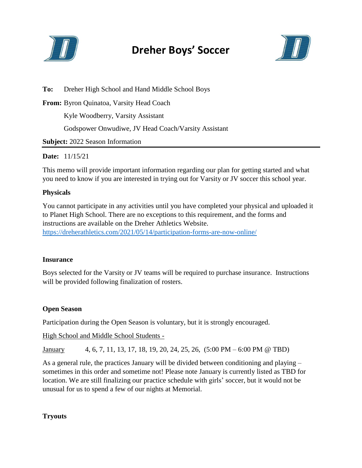

# **Dreher Boys' Soccer**



**To:** Dreher High School and Hand Middle School Boys **From:** Byron Quinatoa, Varsity Head Coach Kyle Woodberry, Varsity Assistant Godspower Onwudiwe, JV Head Coach/Varsity Assistant **Subject:** 2022 Season Information

## **Date:** 11/15/21

This memo will provide important information regarding our plan for getting started and what you need to know if you are interested in trying out for Varsity or JV soccer this school year.

## **Physicals**

You cannot participate in any activities until you have completed your physical and uploaded it to Planet High School. There are no exceptions to this requirement, and the forms and instructions are available on the Dreher Athletics Website. <https://dreherathletics.com/2021/05/14/participation-forms-are-now-online/>

#### **Insurance**

Boys selected for the Varsity or JV teams will be required to purchase insurance. Instructions will be provided following finalization of rosters.

# **Open Season**

Participation during the Open Season is voluntary, but it is strongly encouraged.

High School and Middle School Students -

January 4, 6, 7, 11, 13, 17, 18, 19, 20, 24, 25, 26, (5:00 PM – 6:00 PM @ TBD)

As a general rule, the practices January will be divided between conditioning and playing – sometimes in this order and sometime not! Please note January is currently listed as TBD for location. We are still finalizing our practice schedule with girls' soccer, but it would not be unusual for us to spend a few of our nights at Memorial.

**Tryouts**